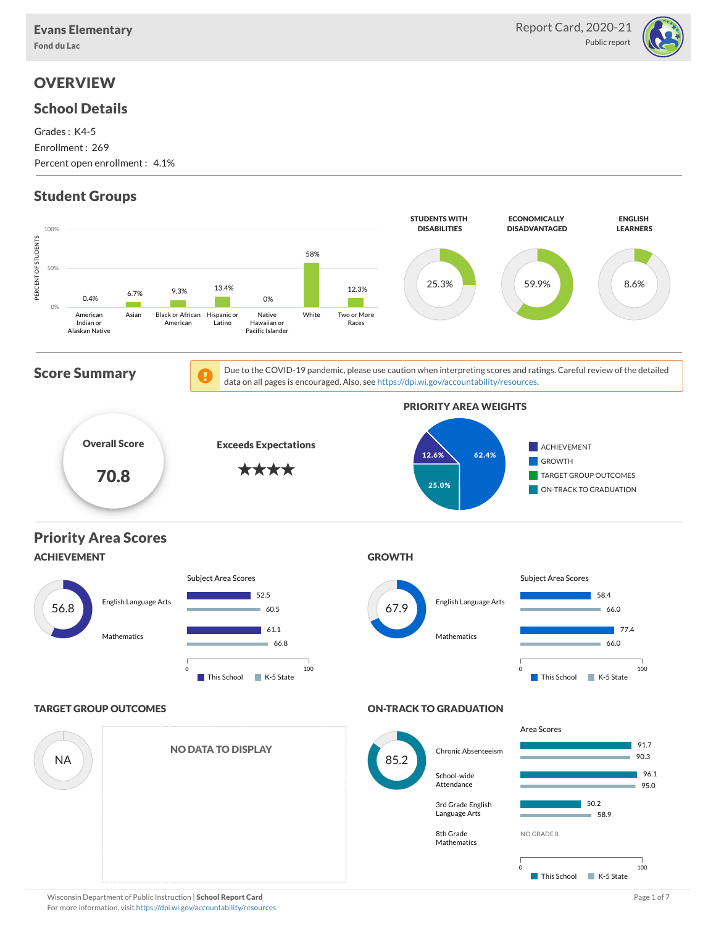

# **OVERVIEW**

### School Details

Grades : K4-5 Enrollment : 269 Percent open enrollment : 4.1%

# Student Groups

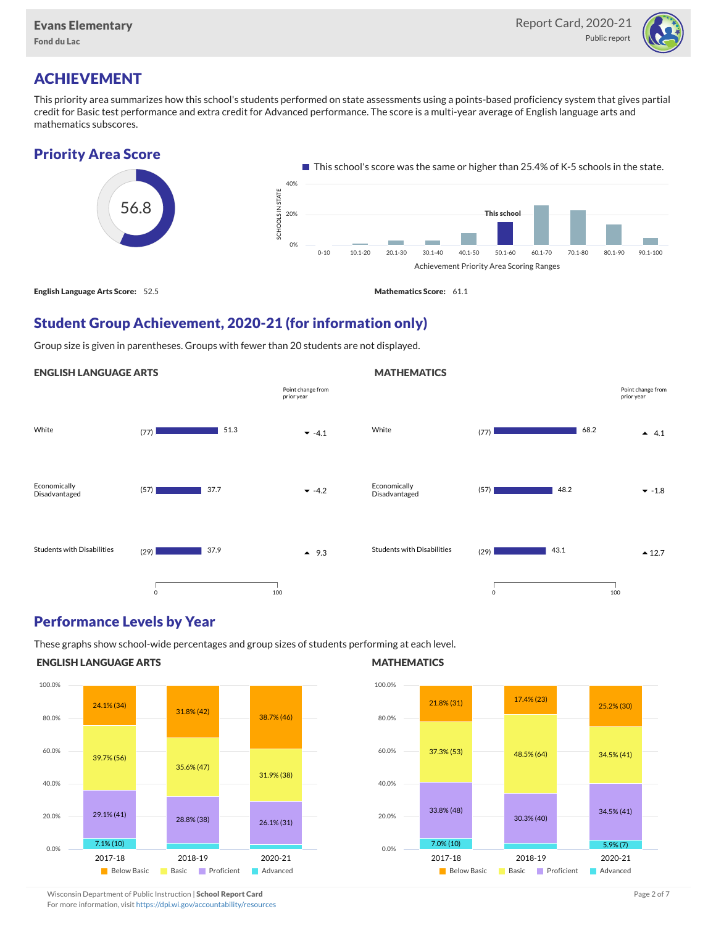

# ACHIEVEMENT

This priority area summarizes how this school's students performed on state assessments using a points-based proficiency system that gives partial credit for Basic test performance and extra credit for Advanced performance. The score is a multi-year average of English language arts and mathematics subscores.

### Priority Area Score



## Student Group Achievement, 2020-21 (for information only)

Group size is given in parentheses. Groups with fewer than 20 students are not displayed.

#### ENGLISH LANGUAGE ARTS



### Performance Levels by Year

These graphs show school-wide percentages and group sizes of students performing at each level.

#### ENGLISH LANGUAGE ARTS



#### **MATHEMATICS**

**MATHEMATICS** 



Wisconsin Department of Public Instruction | School Report Card Page 2 of 7 and 2008 and 2009 and 2 of 7 and 2 of 7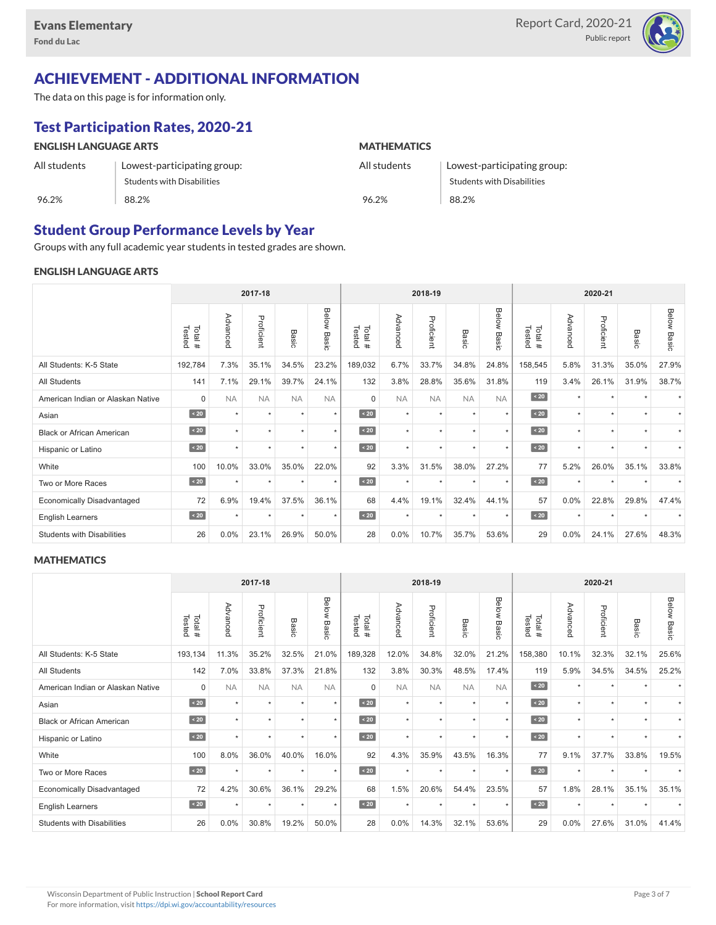

# ACHIEVEMENT - ADDITIONAL INFORMATION

The data on this page is for information only.

# Test Participation Rates, 2020-21

| <b>ENGLISH LANGUAGE ARTS</b> |                             | <b>MATHEMATICS</b> |                             |  |  |  |  |
|------------------------------|-----------------------------|--------------------|-----------------------------|--|--|--|--|
| All students                 | Lowest-participating group: | All students       | Lowest-participating group: |  |  |  |  |
|                              | Students with Disabilities  |                    | Students with Disabilities  |  |  |  |  |
| 96.2%                        | 88.2%                       | 96.2%              | 88.2%                       |  |  |  |  |

## Student Group Performance Levels by Year

Groups with any full academic year students in tested grades are shown.

#### ENGLISH LANGUAGE ARTS

|                                   | 2017-18          |           |            |           |                    |                  |           | 2018-19    |           |                | 2020-21          |          |            |                      |                    |
|-----------------------------------|------------------|-----------|------------|-----------|--------------------|------------------|-----------|------------|-----------|----------------|------------------|----------|------------|----------------------|--------------------|
|                                   | Tested<br>Total# | Advanced  | Proficient | Basic     | <b>Below Basic</b> | Tested<br>Total# | Advanced  | Proficient | Basic     | Below<br>Basic | Tested<br>Total# | Advanced | Proficient | Basic                | <b>Below Basic</b> |
| All Students: K-5 State           | 192,784          | 7.3%      | 35.1%      | 34.5%     | 23.2%              | 189,032          | 6.7%      | 33.7%      | 34.8%     | 24.8%          | 158,545          | 5.8%     | 31.3%      | 35.0%                | 27.9%              |
| All Students                      | 141              | 7.1%      | 29.1%      | 39.7%     | 24.1%              | 132              | 3.8%      | 28.8%      | 35.6%     | 31.8%          | 119              | 3.4%     | 26.1%      | 31.9%                | 38.7%              |
| American Indian or Alaskan Native | $\mathbf 0$      | <b>NA</b> | <b>NA</b>  | <b>NA</b> | <b>NA</b>          | $\Omega$         | <b>NA</b> | <b>NA</b>  | <b>NA</b> | <b>NA</b>      | $\angle 20$      | $\star$  | $\star$    |                      |                    |
| Asian                             | $\sim 20$        | $\star$   | $\star$    | ٠         | $\star$            | $\sim 20$        | $\star$   | $\star$    | $\star$   | $\star$        | $\sim 20$        | $\star$  | $\star$    | $\ddot{}$            |                    |
| <b>Black or African American</b>  | $\sim 20$        | $\star$   | $\star$    | $\star$   | $\star$            | $\sim 20$        | $\star$   | $\star$    |           | $\star$        | $\sim 20$        | $\star$  | $\star$    |                      |                    |
| Hispanic or Latino                | $\angle 20$      |           | $\star$    | $\star$   | $\star$            | $\angle 20$      | $\star$   | $\star$    | $\ddot{}$ | $\star$        | $\angle 20$      | $\star$  | $\star$    | $\ddot{\phantom{1}}$ |                    |
| White                             | 100              | 10.0%     | 33.0%      | 35.0%     | 22.0%              | 92               | 3.3%      | 31.5%      | 38.0%     | 27.2%          | 77               | 5.2%     | 26.0%      | 35.1%                | 33.8%              |
| Two or More Races                 | $\sim 20$        |           | ٠          | ٠         | $\star$            | $\sim 20$        | $\star$   | $\star$    |           | ٠              | $\sim 20$        | $\star$  | ٠          |                      |                    |
| <b>Economically Disadvantaged</b> | 72               | 6.9%      | 19.4%      | 37.5%     | 36.1%              | 68               | 4.4%      | 19.1%      | 32.4%     | 44.1%          | 57               | 0.0%     | 22.8%      | 29.8%                | 47.4%              |
| <b>English Learners</b>           | $\sim 20$        | $\star$   | $\star$    | $\star$   | $^\star$           | $\sim 20$        | $\star$   | $\star$    | $\star$   | $\star$        | $\sim 20$        | $\star$  | $\star$    | $\star$              |                    |
| <b>Students with Disabilities</b> | 26               | $0.0\%$   | 23.1%      | 26.9%     | 50.0%              | 28               | 0.0%      | 10.7%      | 35.7%     | 53.6%          | 29               | 0.0%     | 24.1%      | 27.6%                | 48.3%              |

#### **MATHEMATICS**

|                                   | 2017-18           |           |            |           |                |                  |           | 2018-19    |                      |                | 2020-21          |          |            |           |                    |
|-----------------------------------|-------------------|-----------|------------|-----------|----------------|------------------|-----------|------------|----------------------|----------------|------------------|----------|------------|-----------|--------------------|
|                                   | Tested<br>Total # | Advanced  | Proficient | Basic     | Below<br>Basic | Tested<br>Total# | Advanced  | Proficient | Basic                | Below<br>Basic | Tested<br>Total# | Advanced | Proficient | Basic     | <b>Below Basic</b> |
| All Students: K-5 State           | 193,134           | 11.3%     | 35.2%      | 32.5%     | 21.0%          | 189,328          | 12.0%     | 34.8%      | 32.0%                | 21.2%          | 158,380          | 10.1%    | 32.3%      | 32.1%     | 25.6%              |
| <b>All Students</b>               | 142               | 7.0%      | 33.8%      | 37.3%     | 21.8%          | 132              | 3.8%      | 30.3%      | 48.5%                | 17.4%          | 119              | 5.9%     | 34.5%      | 34.5%     | 25.2%              |
| American Indian or Alaskan Native | $\mathbf 0$       | <b>NA</b> | <b>NA</b>  | <b>NA</b> | <b>NA</b>      | $\Omega$         | <b>NA</b> | <b>NA</b>  | <b>NA</b>            | <b>NA</b>      | $\angle 20$      | $\star$  | $\star$    |           |                    |
| Asian                             | $\sim 20$         | $\star$   | $\star$    | ٠         | $\star$        | $\leq 20$        | $\star$   | $\star$    | $\star$              | $\star$        | $\vert$ < 20     | $\star$  | ٠          |           |                    |
| <b>Black or African American</b>  | $\angle 20$       | $\star$   | $\star$    | $\star$   | $\star$        | $\angle 20$      | $\star$   | $\star$    |                      | $\star$        | $\angle 20$      | $\star$  | $\star$    |           |                    |
| Hispanic or Latino                | $\angle 20$       | $\ddot{}$ | $\star$    | $\star$   | $\star$        | $\angle 20$      | $\star$   | $\star$    | $\ddot{}$            | $\star$        | $\angle 20$      | $\star$  | $\star$    | $\ddot{}$ |                    |
| White                             | 100               | 8.0%      | 36.0%      | 40.0%     | 16.0%          | 92               | 4.3%      | 35.9%      | 43.5%                | 16.3%          | 77               | 9.1%     | 37.7%      | 33.8%     | 19.5%              |
| Two or More Races                 | $\sim 20$         | $\ddot{}$ | $\star$    | $\star$   | $\star$        | $\sim 20$        | $\star$   | $\star$    | $\ddot{\phantom{1}}$ | $\star$        | $\sim 20$        | $\star$  | $\star$    |           |                    |
| <b>Economically Disadvantaged</b> | 72                | 4.2%      | 30.6%      | 36.1%     | 29.2%          | 68               | 1.5%      | 20.6%      | 54.4%                | 23.5%          | 57               | 1.8%     | 28.1%      | 35.1%     | 35.1%              |
| English Learners                  | $\leq 20$         | $\star$   | $\star$    | $\star$   | $\star$        | $\angle 20$      | $\star$   | $\star$    | $\star$              | $\star$        | $\angle 20$      | $\star$  | $\star$    | $\ddot{}$ |                    |
| <b>Students with Disabilities</b> | 26                | 0.0%      | 30.8%      | 19.2%     | 50.0%          | 28               | 0.0%      | 14.3%      | 32.1%                | 53.6%          | 29               | 0.0%     | 27.6%      | 31.0%     | 41.4%              |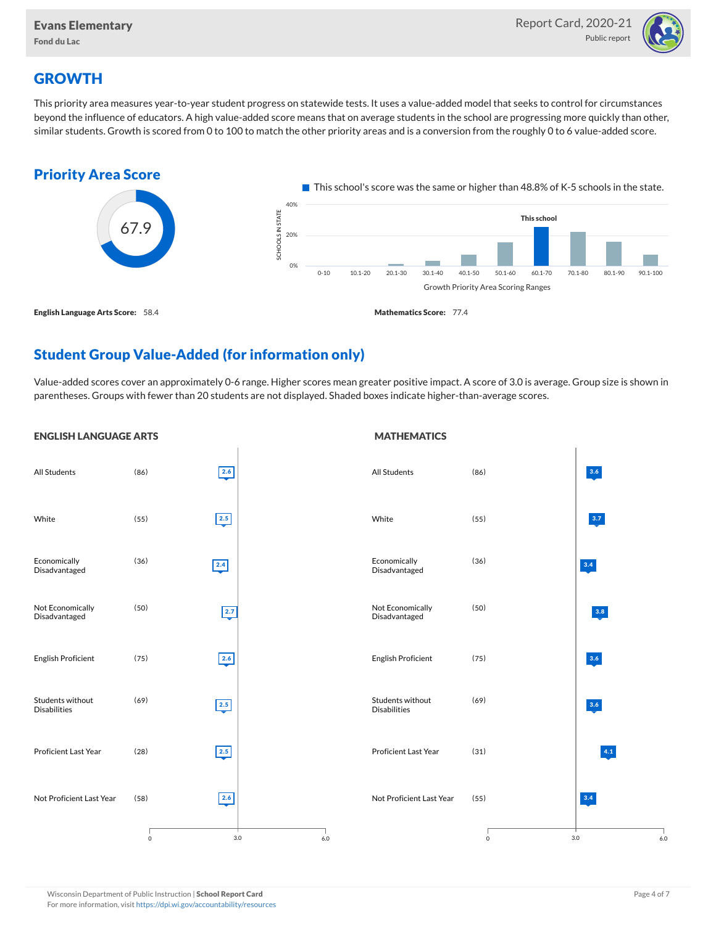

# **GROWTH**

This priority area measures year-to-year student progress on statewide tests. It uses a value-added model that seeks to control for circumstances beyond the influence of educators. A high value-added score means that on average students in the school are progressing more quickly than other, similar students. Growth is scored from 0 to 100 to match the other priority areas and is a conversion from the roughly 0 to 6 value-added score.



# Student Group Value-Added (for information only)

Value-added scores cover an approximately 0-6 range. Higher scores mean greater positive impact. A score of 3.0 is average. Group size is shown in parentheses. Groups with fewer than 20 students are not displayed. Shaded boxes indicate higher-than-average scores.

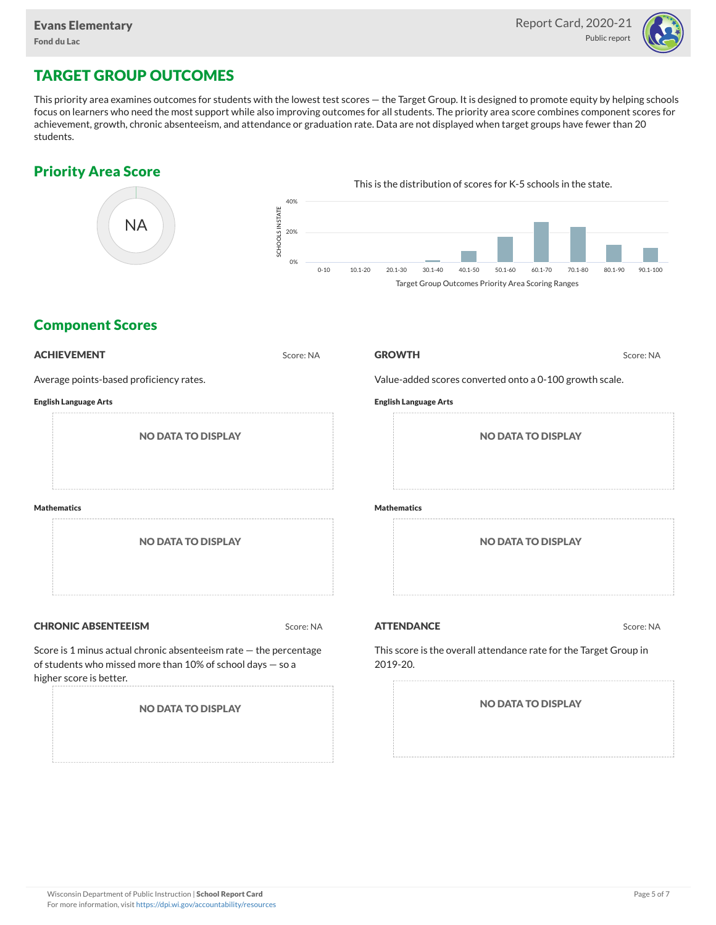

# TARGET GROUP OUTCOMES

This priority area examines outcomes for students with the lowest test scores — the Target Group. It is designed to promote equity by helping schools focus on learners who need the most support while also improving outcomes for all students. The priority area score combines component scores for achievement, growth, chronic absenteeism, and attendance or graduation rate. Data are not displayed when target groups have fewer than 20 students.

## Priority Area Score



## Component Scores

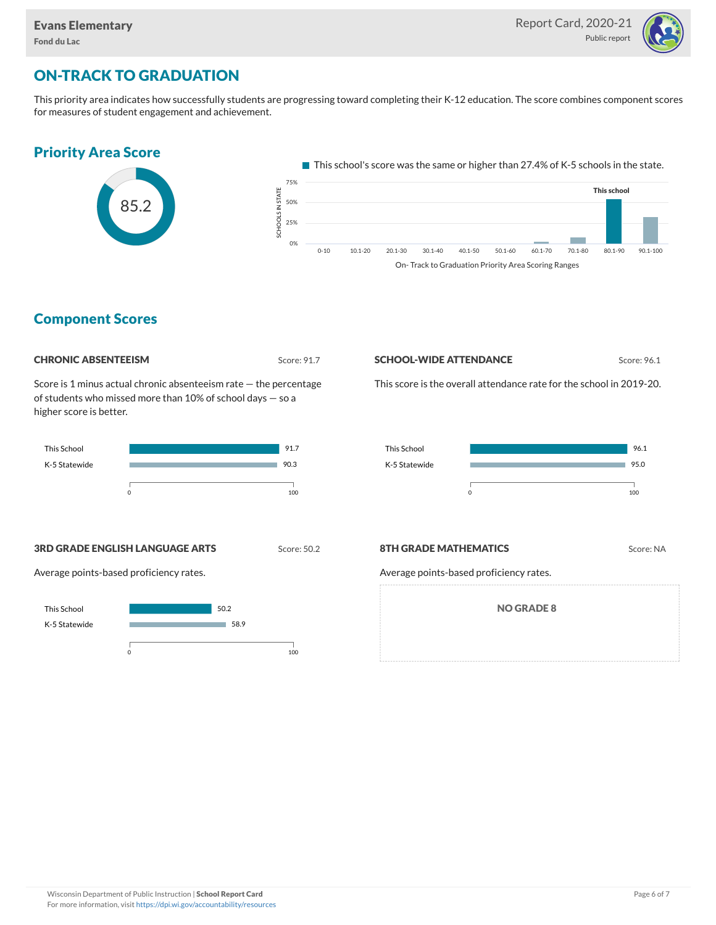

# ON-TRACK TO GRADUATION

This priority area indicates how successfully students are progressing toward completing their K-12 education. The score combines component scores for measures of student engagement and achievement.



### Component Scores

| <b>CHRONIC ABSENTEEISM</b> |
|----------------------------|
|                            |

Score: 91.7

Score is 1 minus actual chronic absenteeism rate — the percentage of students who missed more than 10% of school days — so a higher score is better.



#### **SCHOOL-WIDE ATTENDANCE** Score: 96.1

This score is the overall attendance rate for the school in 2019-20.



**3RD GRADE ENGLISH LANGUAGE ARTS** Score: 50.2

Average points-based proficiency rates.



#### **8TH GRADE MATHEMATICS** Score: NA

Average points-based proficiency rates.

NO GRADE 8